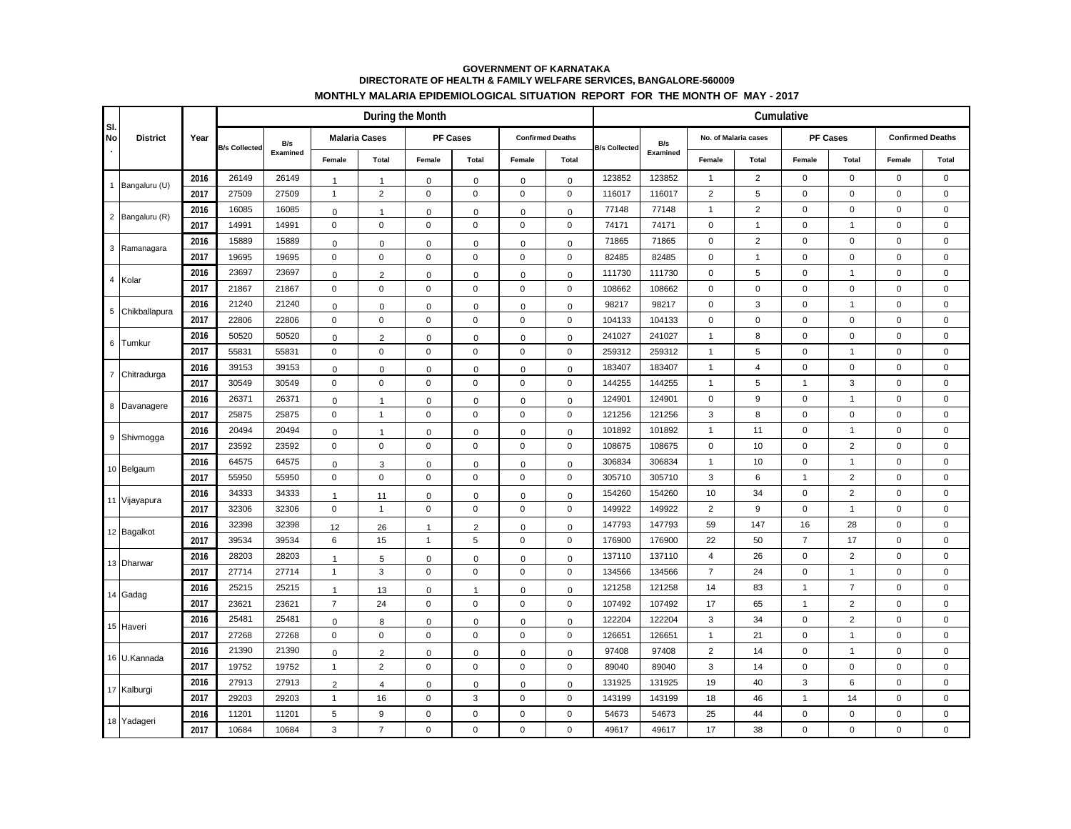## **GOVERNMENT OF KARNATAKA DIRECTORATE OF HEALTH & FAMILY WELFARE SERVICES, BANGALORE-560009 MONTHLY MALARIA EPIDEMIOLOGICAL SITUATION REPORT FOR THE MONTH OF MAY - 2017**

|                  |                 |      | During the Month     |                 |                      |                |                     |                     |                         |                     |                      |          |                      |                | Cumulative      |                |                         | Total<br>$\mathsf 0$<br>$\mathsf 0$<br>$\mathbf 0$<br>$\mathbf 0$<br>$\mathbf 0$<br>$\mathbf 0$<br>$\mathbf 0$<br>$\mathbf 0$<br>$\mathbf 0$<br>$\mathbf 0$<br>$\mathbf 0$<br>$\mathbf 0$<br>$\mathsf 0$<br>$\mathbf 0$<br>$\mathbf 0$<br>$\mathbf 0$<br>$\mathbf 0$<br>$\mathsf 0$<br>$\mathbf 0$<br>$\mathsf 0$<br>$\mathbf 0$<br>$\mathbf 0$<br>$\mathsf 0$<br>$\mathbf 0$<br>$\mathbf 0$<br>$\mathbf 0$<br>$\mathbf 0$<br>$\mathsf{O}\xspace$<br>$\mathbf 0$<br>$\mathsf 0$<br>$\mathbf 0$<br>$\mathbf 0$<br>$\mathsf 0$<br>$\mathbf 0$<br>$\mathbf 0$ |  |  |
|------------------|-----------------|------|----------------------|-----------------|----------------------|----------------|---------------------|---------------------|-------------------------|---------------------|----------------------|----------|----------------------|----------------|-----------------|----------------|-------------------------|------------------------------------------------------------------------------------------------------------------------------------------------------------------------------------------------------------------------------------------------------------------------------------------------------------------------------------------------------------------------------------------------------------------------------------------------------------------------------------------------------------------------------------------------------------|--|--|
| SI.<br><b>No</b> | <b>District</b> | Year | <b>B/s Collected</b> | B/s<br>Examined | <b>Malaria Cases</b> |                | <b>PF Cases</b>     |                     | <b>Confirmed Deaths</b> |                     | <b>B/s Collected</b> | B/s      | No. of Malaria cases |                | <b>PF Cases</b> |                | <b>Confirmed Deaths</b> |                                                                                                                                                                                                                                                                                                                                                                                                                                                                                                                                                            |  |  |
|                  |                 |      |                      |                 | Female               | Total          | Female              | Total               | Female                  | Total               |                      | Examined | Female               | Total          | Female          | Total          | Female                  |                                                                                                                                                                                                                                                                                                                                                                                                                                                                                                                                                            |  |  |
|                  | 1 Bangaluru (U) | 2016 | 26149                | 26149           | $\mathbf{1}$         | $\mathbf{1}$   | $\mathsf 0$         | $\mathsf 0$         | 0                       | $\mathsf 0$         | 123852               | 123852   | $\mathbf{1}$         | $\overline{2}$ | $\pmb{0}$       | $\mathsf 0$    | $\mathsf 0$             |                                                                                                                                                                                                                                                                                                                                                                                                                                                                                                                                                            |  |  |
|                  |                 | 2017 | 27509                | 27509           | $\mathbf{1}$         | $\mathbf 2$    | $\mathbf 0$         | $\pmb{0}$           | $\pmb{0}$               | $\pmb{0}$           | 116017               | 116017   | $\overline{2}$       | $\sqrt{5}$     | $\pmb{0}$       | $\pmb{0}$      | $\pmb{0}$               |                                                                                                                                                                                                                                                                                                                                                                                                                                                                                                                                                            |  |  |
|                  | 2 Bangaluru (R) | 2016 | 16085                | 16085           | 0                    | $\mathbf{1}$   | $\mathsf 0$         | $\mathbf 0$         | $\mathbf 0$             | $\mathsf 0$         | 77148                | 77148    | $\mathbf{1}$         | 2              | $\pmb{0}$       | $\mathbf 0$    | $\mathbf 0$             |                                                                                                                                                                                                                                                                                                                                                                                                                                                                                                                                                            |  |  |
|                  |                 | 2017 | 14991                | 14991           | $\mathsf{O}\xspace$  | $\mathbf 0$    | $\pmb{0}$           | $\mathbf 0$         | $\pmb{0}$               | 0                   | 74171                | 74171    | $\mathbf 0$          | $\mathbf{1}$   | $\pmb{0}$       | $\mathbf{1}$   | $\pmb{0}$               |                                                                                                                                                                                                                                                                                                                                                                                                                                                                                                                                                            |  |  |
|                  | 3 Ramanagara    | 2016 | 15889                | 15889           | 0                    | $\mathsf 0$    | 0                   | 0                   | $\mathbf 0$             | $\mathbf 0$         | 71865                | 71865    | $\mathsf 0$          | $\sqrt{2}$     | $\pmb{0}$       | $\mathsf 0$    | $\pmb{0}$               |                                                                                                                                                                                                                                                                                                                                                                                                                                                                                                                                                            |  |  |
|                  |                 | 2017 | 19695                | 19695           | $\mathbf 0$          | $\pmb{0}$      | $\mathbf 0$         | $\mathsf 0$         | 0                       | 0                   | 82485                | 82485    | $\mathsf 0$          | $\overline{1}$ | $\mathbf 0$     | $\mathbf 0$    | $\mathbf 0$             |                                                                                                                                                                                                                                                                                                                                                                                                                                                                                                                                                            |  |  |
|                  | 4 Kolar         | 2016 | 23697                | 23697           | 0                    | $\overline{2}$ | $\mathbf 0$         | $\mathsf 0$         | $\pmb{0}$               | $\mathbf 0$         | 111730               | 111730   | $\mathbf 0$          | $\sqrt{5}$     | $\pmb{0}$       | $\mathbf{1}$   | $\pmb{0}$               |                                                                                                                                                                                                                                                                                                                                                                                                                                                                                                                                                            |  |  |
|                  |                 | 2017 | 21867                | 21867           | $\mathsf 0$          | $\pmb{0}$      | $\mathbf 0$         | $\mathbf 0$         | 0                       | 0                   | 108662               | 108662   | $\mathbf 0$          | $\mathbf 0$    | $\pmb{0}$       | $\mathbf 0$    | $\mathbf 0$             |                                                                                                                                                                                                                                                                                                                                                                                                                                                                                                                                                            |  |  |
|                  |                 | 2016 | 21240                | 21240           | 0                    | $\mathsf 0$    | $\mathsf 0$         | $\mathbf 0$         | 0                       | $\pmb{0}$           | 98217                | 98217    | $\mathsf{O}\xspace$  | $\mathsf 3$    | $\pmb{0}$       | $\mathbf{1}$   | $\pmb{0}$               |                                                                                                                                                                                                                                                                                                                                                                                                                                                                                                                                                            |  |  |
|                  | 5 Chikballapura | 2017 | 22806                | 22806           | $\mathbf 0$          | $\pmb{0}$      | $\pmb{0}$           | $\mathbf 0$         | $\pmb{0}$               | 0                   | 104133               | 104133   | $\mathbf 0$          | $\mathbf 0$    | $\pmb{0}$       | $\pmb{0}$      | $\pmb{0}$               |                                                                                                                                                                                                                                                                                                                                                                                                                                                                                                                                                            |  |  |
|                  | 6 Tumkur        | 2016 | 50520                | 50520           | 0                    | $\overline{2}$ | $\mathbf 0$         | $\mathbf 0$         | $\pmb{0}$               | $\mathsf 0$         | 241027               | 241027   | $\overline{1}$       | 8              | $\mathbf 0$     | $\mathbf 0$    | $\mathbf 0$             |                                                                                                                                                                                                                                                                                                                                                                                                                                                                                                                                                            |  |  |
|                  |                 | 2017 | 55831                | 55831           | $\mathsf 0$          | $\pmb{0}$      | $\pmb{0}$           | $\mathbf 0$         | $\pmb{0}$               | $\mathsf{O}\xspace$ | 259312               | 259312   | $\overline{1}$       | $\,$ 5 $\,$    | $\pmb{0}$       | $\mathbf{1}$   | $\pmb{0}$               |                                                                                                                                                                                                                                                                                                                                                                                                                                                                                                                                                            |  |  |
|                  | 7 Chitradurga   | 2016 | 39153                | 39153           | 0                    | $\pmb{0}$      | $\mathbf 0$         | $\mathbf 0$         | $\mathsf 0$             | $\mathsf 0$         | 183407               | 183407   | $\overline{1}$       | $\overline{4}$ | $\mathsf 0$     | $\mathsf 0$    | $\pmb{0}$               |                                                                                                                                                                                                                                                                                                                                                                                                                                                                                                                                                            |  |  |
|                  |                 | 2017 | 30549                | 30549           | $\mathsf{O}\xspace$  | $\pmb{0}$      | $\pmb{0}$           | $\mathbf 0$         | $\pmb{0}$               | 0                   | 144255               | 144255   | $\overline{1}$       | $\,$ 5 $\,$    | $\mathbf{1}$    | $\mathsf 3$    | $\mathbf 0$             |                                                                                                                                                                                                                                                                                                                                                                                                                                                                                                                                                            |  |  |
|                  | 8 Davanagere    | 2016 | 26371                | 26371           | 0                    | $\overline{1}$ | $\mathsf 0$         | $\mathsf 0$         | $\pmb{0}$               | $\mathbf 0$         | 124901               | 124901   | $\mathbf 0$          | 9              | $\pmb{0}$       | $\mathbf{1}$   | $\pmb{0}$               |                                                                                                                                                                                                                                                                                                                                                                                                                                                                                                                                                            |  |  |
|                  |                 | 2017 | 25875                | 25875           | $\mathsf 0$          | $\mathbf{1}$   | $\mathsf{O}\xspace$ | $\mathsf 0$         | 0                       | 0                   | 121256               | 121256   | $\mathbf{3}$         | 8              | $\mathbf 0$     | $\mathbf 0$    | $\mathbf 0$             |                                                                                                                                                                                                                                                                                                                                                                                                                                                                                                                                                            |  |  |
|                  | 9 Shivmoqga     | 2016 | 20494                | 20494           | 0                    | $\mathbf{1}$   | $\mathbf 0$         | $\mathbf 0$         | $\mathbf 0$             | $\mathsf 0$         | 101892               | 101892   | $\overline{1}$       | 11             | $\pmb{0}$       | $\mathbf{1}$   | $\pmb{0}$               |                                                                                                                                                                                                                                                                                                                                                                                                                                                                                                                                                            |  |  |
|                  |                 | 2017 | 23592                | 23592           | $\mathsf 0$          | $\mathbf 0$    | $\pmb{0}$           | $\mathbf 0$         | $\pmb{0}$               | 0                   | 108675               | 108675   | $\mathbf 0$          | 10             | $\pmb{0}$       | $\sqrt{2}$     | $\pmb{0}$               |                                                                                                                                                                                                                                                                                                                                                                                                                                                                                                                                                            |  |  |
|                  |                 | 2016 | 64575                | 64575           | 0                    | 3              | $\pmb{0}$           | $\mathbf 0$         | $\pmb{0}$               | $\pmb{0}$           | 306834               | 306834   | $\mathbf{1}$         | 10             | $\pmb{0}$       | $\mathbf{1}$   | $\mathbf 0$             |                                                                                                                                                                                                                                                                                                                                                                                                                                                                                                                                                            |  |  |
|                  | 10 Belgaum      | 2017 | 55950                | 55950           | $\mathsf 0$          | $\pmb{0}$      | $\pmb{0}$           | $\mathsf{O}\xspace$ | 0                       | 0                   | 305710               | 305710   | 3                    | 6              | $\mathbf{1}$    | $\sqrt{2}$     | $\pmb{0}$               |                                                                                                                                                                                                                                                                                                                                                                                                                                                                                                                                                            |  |  |
|                  | 11 Vijayapura   | 2016 | 34333                | 34333           | $\mathbf{1}$         | 11             | $\mathbf 0$         | $\mathbf 0$         | $\mathbf 0$             | $\Omega$            | 154260               | 154260   | 10                   | 34             | $\pmb{0}$       | $\overline{2}$ | $\pmb{0}$               |                                                                                                                                                                                                                                                                                                                                                                                                                                                                                                                                                            |  |  |
|                  |                 | 2017 | 32306                | 32306           | $\mathsf 0$          | $\mathbf{1}$   | $\pmb{0}$           | $\mathbf 0$         | $\pmb{0}$               | 0                   | 149922               | 149922   | $\overline{2}$       | 9              | $\pmb{0}$       | $\mathbf{1}$   | $\pmb{0}$               |                                                                                                                                                                                                                                                                                                                                                                                                                                                                                                                                                            |  |  |
|                  | 12 Bagalkot     | 2016 | 32398                | 32398           | 12                   | 26             | $\overline{1}$      | $\overline{2}$      | 0                       | $\mathbf 0$         | 147793               | 147793   | 59                   | 147            | 16              | 28             | $\pmb{0}$               |                                                                                                                                                                                                                                                                                                                                                                                                                                                                                                                                                            |  |  |
|                  |                 | 2017 | 39534                | 39534           | 6                    | 15             | $\mathbf{1}$        | $\,$ 5 $\,$         | 0                       | 0                   | 176900               | 176900   | 22                   | 50             | $\overline{7}$  | 17             | $\mathbf 0$             |                                                                                                                                                                                                                                                                                                                                                                                                                                                                                                                                                            |  |  |
|                  | 13 Dharwar      | 2016 | 28203                | 28203           | $\mathbf{1}$         | $\,$ 5 $\,$    | $\mathsf 0$         | $\mathsf 0$         | 0                       | $\mathbf 0$         | 137110               | 137110   | $\overline{4}$       | 26             | $\pmb{0}$       | $\mathbf 2$    | $\mathsf 0$             |                                                                                                                                                                                                                                                                                                                                                                                                                                                                                                                                                            |  |  |
|                  |                 | 2017 | 27714                | 27714           | $\mathbf{1}$         | $\mathsf 3$    | $\mathbf 0$         | $\pmb{0}$           | $\pmb{0}$               | 0                   | 134566               | 134566   | $\overline{7}$       | 24             | $\pmb{0}$       | $\mathbf{1}$   | $\pmb{0}$               |                                                                                                                                                                                                                                                                                                                                                                                                                                                                                                                                                            |  |  |
|                  | 14 Gadag        | 2016 | 25215                | 25215           | $\mathbf{1}$         | 13             | $\mathbf 0$         | $\mathbf{1}$        | $\mathbf 0$             | $\pmb{0}$           | 121258               | 121258   | 14                   | 83             | $\mathbf{1}$    | $\overline{7}$ | $\mathbf 0$             |                                                                                                                                                                                                                                                                                                                                                                                                                                                                                                                                                            |  |  |
|                  |                 | 2017 | 23621                | 23621           | $\overline{7}$       | 24             | $\pmb{0}$           | $\mathsf{O}\xspace$ | $\pmb{0}$               | $\pmb{0}$           | 107492               | 107492   | 17                   | 65             | $\mathbf{1}$    | $\mathbf 2$    | $\pmb{0}$               |                                                                                                                                                                                                                                                                                                                                                                                                                                                                                                                                                            |  |  |
|                  | 15 Haveri       | 2016 | 25481                | 25481           | 0                    | 8              | $\mathbf 0$         | $\pmb{0}$           | $\mathbf 0$             | $\mathbf 0$         | 122204               | 122204   | 3                    | 34             | $\pmb{0}$       | $\overline{2}$ | $\mathbf 0$             |                                                                                                                                                                                                                                                                                                                                                                                                                                                                                                                                                            |  |  |
|                  |                 | 2017 | 27268                | 27268           | $\mathsf{O}\xspace$  | $\pmb{0}$      | $\pmb{0}$           | $\mathsf{O}\xspace$ | $\pmb{0}$               | $\mathsf{O}\xspace$ | 126651               | 126651   | $\overline{1}$       | 21             | $\mathbf 0$     | $\mathbf{1}$   | $\pmb{0}$               |                                                                                                                                                                                                                                                                                                                                                                                                                                                                                                                                                            |  |  |
|                  |                 | 2016 | 21390                | 21390           | 0                    | $\overline{2}$ | $\mathsf 0$         | $\mathbf 0$         | 0                       | $\mathsf 0$         | 97408                | 97408    | $\overline{2}$       | 14             | $\pmb{0}$       | $\mathbf{1}$   | $\pmb{0}$               |                                                                                                                                                                                                                                                                                                                                                                                                                                                                                                                                                            |  |  |
|                  | 16 U.Kannada    | 2017 | 19752                | 19752           | $\mathbf{1}$         | $\sqrt{2}$     | $\mathsf 0$         | $\mathsf 0$         | $\mathsf 0$             | 0                   | 89040                | 89040    | 3                    | 14             | $\pmb{0}$       | $\mathbf 0$    | $\mathbf 0$             |                                                                                                                                                                                                                                                                                                                                                                                                                                                                                                                                                            |  |  |
|                  | 17 Kalburgi     | 2016 | 27913                | 27913           | $\overline{2}$       | $\overline{4}$ | $\mathsf 0$         | $\mathbf 0$         | 0                       | $\mathsf 0$         | 131925               | 131925   | 19                   | 40             | 3               | 6              | $\pmb{0}$               |                                                                                                                                                                                                                                                                                                                                                                                                                                                                                                                                                            |  |  |
|                  |                 | 2017 | 29203                | 29203           | $\mathbf{1}$         | 16             | $\pmb{0}$           | 3                   | $\pmb{0}$               | 0                   | 143199               | 143199   | 18                   | 46             | $\mathbf{1}$    | 14             | $\mathbf 0$             |                                                                                                                                                                                                                                                                                                                                                                                                                                                                                                                                                            |  |  |
|                  | 18 Yadageri     | 2016 | 11201                | 11201           | 5                    | 9              | $\pmb{0}$           | $\mathbf 0$         | $\pmb{0}$               | $\pmb{0}$           | 54673                | 54673    | 25                   | 44             | $\pmb{0}$       | $\pmb{0}$      | $\pmb{0}$               |                                                                                                                                                                                                                                                                                                                                                                                                                                                                                                                                                            |  |  |
|                  |                 | 2017 | 10684                | 10684           | 3                    | $\overline{7}$ | $\mathbf 0$         | $\pmb{0}$           | $\mathsf 0$             | $\mathbf 0$         | 49617                | 49617    | 17                   | 38             | $\mathbf 0$     | $\Omega$       | $\mathbf 0$             | $\mathbf 0$                                                                                                                                                                                                                                                                                                                                                                                                                                                                                                                                                |  |  |